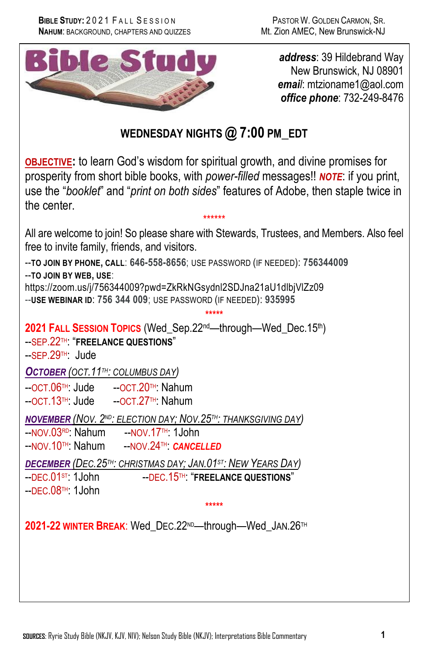

*address*: 39 Hildebrand Way New Brunswick, NJ 08901 *email*: mtzioname1@aol.com *office phone*: 732-249-8476

## **WEDNESDAY NIGHTS @ 7:00 PM\_EDT**

**OBJECTIVE:** to learn God's wisdom for spiritual growth, and divine promises for prosperity from short bible books, with *power-filled* messages!! *NOTE*: if you print, use the "*booklet*" and "*print on both sides*" features of Adobe, then staple twice in the center.

\*\*\*\*\*\* All are welcome to join! So please share with Stewards, Trustees, and Members. Also feel free to invite family, friends, and visitors.

**\*\*\*\*\***

--**TO JOIN BY PHONE, CALL**: **646-558-8656**; USE PASSWORD (IF NEEDED): **756344009** --**TO JOIN BY WEB, USE**:

https://zoom.us/j/756344009?pwd=ZkRkNGsydnl2SDJna21aU1dlbjVlZz09 --**USE WEBINAR ID**: **756 344 009**; USE PASSWORD (IF NEEDED): **935995**

**2021 FALL SESSION TOPICS** (Wed\_Sep.22nd—through—Wed\_Dec.15th) --SEP.22TH: "**FREELANCE QUESTIONS**"

--SEP.29TH: Jude

*OCTOBER (OCT.11TH: COLUMBUS DAY)*

--OCT.06TH: Jude --OCT.20TH: Nahum --OCT.13TH: Jude --OCT.27TH: Nahum

*NOVEMBER (NOV. 2ND: ELECTION DAY; NOV.25TH: THANKSGIVING DAY)*

--NOV.03RD: Nahum --NOV.17TH: 1John --NOV.10TH: Nahum --NOV.24TH: *CANCELLED*

*DECEMBER (DEC.25TH: CHRISTMAS DAY; JAN.01ST: NEW YEARS DAY)*

 $-$ DEC.08<sup>TH</sup>: 1John

--DEC.15<sup>TH: "</sup>FREELANCE QUESTIONS"

**\*\*\*\*\***

**2021-22 WINTER BREAK**: Wed\_DEC.22ND—through—Wed\_JAN.26TH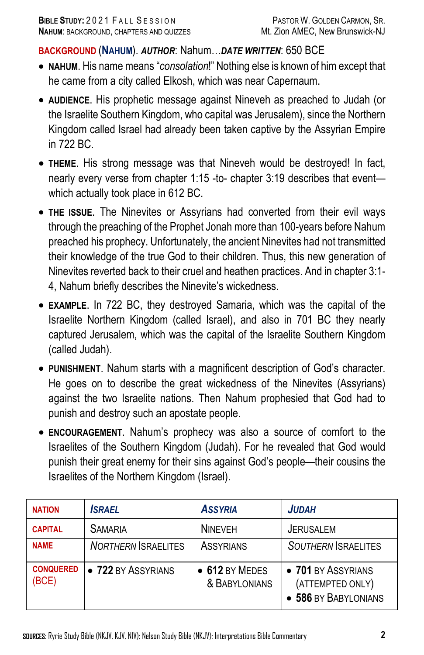## **BACKGROUND** (**NAHUM**). *AUTHOR*: Nahum…*DATE WRITTEN*: 650 BCE

- **NAHUM**. His name means "*consolation*!" Nothing else is known of him except that he came from a city called Elkosh, which was near Capernaum.
- **AUDIENCE**. His prophetic message against Nineveh as preached to Judah (or the Israelite Southern Kingdom, who capital was Jerusalem), since the Northern Kingdom called Israel had already been taken captive by the Assyrian Empire in 722 BC.
- **THEME**. His strong message was that Nineveh would be destroyed! In fact, nearly every verse from chapter 1:15 -to- chapter 3:19 describes that event which actually took place in 612 BC.
- **THE ISSUE**. The Ninevites or Assyrians had converted from their evil ways through the preaching of the Prophet Jonah more than 100-years before Nahum preached his prophecy. Unfortunately, the ancient Ninevites had not transmitted their knowledge of the true God to their children. Thus, this new generation of Ninevites reverted back to their cruel and heathen practices. And in chapter 3:1- 4, Nahum briefly describes the Ninevite's wickedness.
- **EXAMPLE**. In 722 BC, they destroyed Samaria, which was the capital of the Israelite Northern Kingdom (called Israel), and also in 701 BC they nearly captured Jerusalem, which was the capital of the Israelite Southern Kingdom (called Judah).
- **PUNISHMENT**. Nahum starts with a magnificent description of God's character. He goes on to describe the great wickedness of the Ninevites (Assyrians) against the two Israelite nations. Then Nahum prophesied that God had to punish and destroy such an apostate people.
- **ENCOURAGEMENT**. Nahum's prophecy was also a source of comfort to the Israelites of the Southern Kingdom (Judah). For he revealed that God would punish their great enemy for their sins against God's people—their cousins the Israelites of the Northern Kingdom (Israel).

| <b>NATION</b>             | <b>ISRAEL</b>              | <b>ASSYRIA</b>                  | <b>JUDAH</b>                                                 |
|---------------------------|----------------------------|---------------------------------|--------------------------------------------------------------|
| <b>CAPITAL</b>            | <b>SAMARIA</b>             | <b>NINFVFH</b>                  | <b>JERUSALEM</b>                                             |
| <b>NAME</b>               | <b>NORTHERN ISRAELITES</b> | <b>ASSYRIANS</b>                | <b>SOUTHERN ISRAELITES</b>                                   |
| <b>CONQUERED</b><br>(BCE) | • 722 BY ASSYRIANS         | • 612 BY MEDES<br>& BABYLONIANS | • 701 BY ASSYRIANS<br>(ATTEMPTED ONLY)<br>586 BY BABYLONIANS |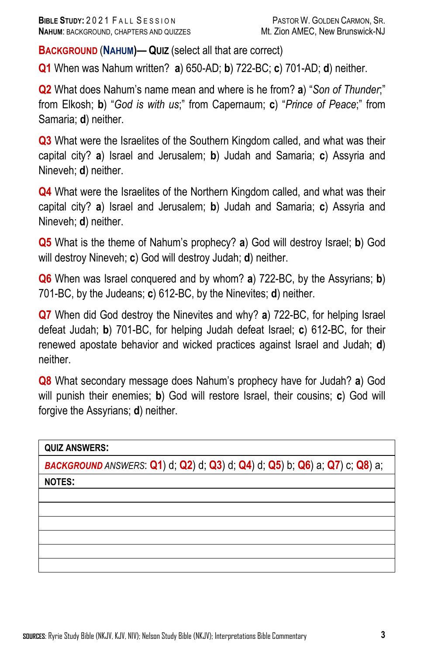**BACKGROUND** (**NAHUM)— QUIZ** (select all that are correct)

**Q1** When was Nahum written? **a**) 650-AD; **b**) 722-BC; **c**) 701-AD; **d**) neither.

**Q2** What does Nahum's name mean and where is he from? **a**) "*Son of Thunder*;" from Elkosh; **b**) "*God is with us*;" from Capernaum; **c**) "*Prince of Peace*;" from Samaria; **d**) neither.

**Q3** What were the Israelites of the Southern Kingdom called, and what was their capital city? **a**) Israel and Jerusalem; **b**) Judah and Samaria; **c**) Assyria and Nineveh; **d**) neither.

**Q4** What were the Israelites of the Northern Kingdom called, and what was their capital city? **a**) Israel and Jerusalem; **b**) Judah and Samaria; **c**) Assyria and Nineveh; **d**) neither.

**Q5** What is the theme of Nahum's prophecy? **a**) God will destroy Israel; **b**) God will destroy Nineveh; **c**) God will destroy Judah; **d**) neither.

**Q6** When was Israel conquered and by whom? **a**) 722-BC, by the Assyrians; **b**) 701-BC, by the Judeans; **c**) 612-BC, by the Ninevites; **d**) neither.

**Q7** When did God destroy the Ninevites and why? **a**) 722-BC, for helping Israel defeat Judah; **b**) 701-BC, for helping Judah defeat Israel; **c**) 612-BC, for their renewed apostate behavior and wicked practices against Israel and Judah; **d**) neither.

**Q8** What secondary message does Nahum's prophecy have for Judah? **a**) God will punish their enemies; **b**) God will restore Israel, their cousins; **c**) God will forgive the Assyrians; **d**) neither.

**QUIZ ANSWERS:**

*BACKGROUND ANSWERS*: **Q1**) d; **Q2**) d; **Q3**) d; **Q4**) d; **Q5**) b; **Q6**) a; **Q7**) c; **Q8**) a;

**NOTES:**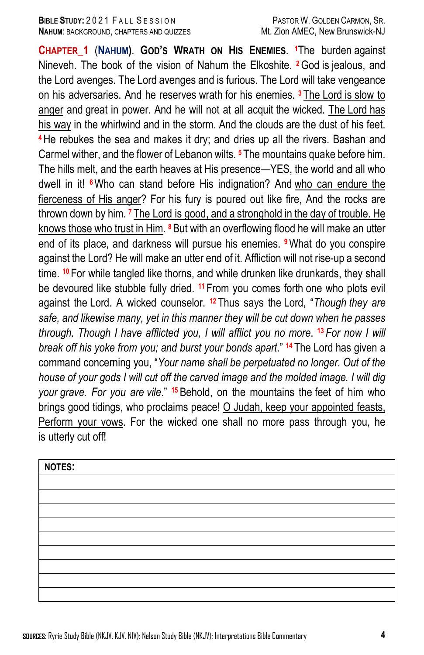## **BIBLE STUDY:** 2021 FALL SESSION PASTOR W. GOLDEN CARMON, SR. **NAHUM: BACKGROUND, CHAPTERS AND QUIZZES METALLY METALLY MANEC, New Brunswick-NJ**

**CHAPTER\_1** (**NAHUM)**. **GOD'S WRATH ON HIS ENEMIES**. **<sup>1</sup>**The burden against Nineveh. The book of the vision of Nahum the Elkoshite. **<sup>2</sup>**God is jealous, and the Lord avenges. The Lord avenges and is furious. The Lord will take vengeance on his adversaries. And he reserves wrath for his enemies. **<sup>3</sup>** The Lord is slow to anger and great in power. And he will not at all acquit the wicked. The Lord has his way in the whirlwind and in the storm. And the clouds are the dust of his feet. **<sup>4</sup>**He rebukes the sea and makes it dry; and dries up all the rivers. Bashan and Carmel wither, and the flower of Lebanon wilts. **<sup>5</sup>** The mountains quake before him. The hills melt, and the earth heaves at His presence—YES, the world and all who dwell in it! **6**Who can stand before His indignation? And who can endure the fierceness of His anger? For his fury is poured out like fire, And the rocks are thrown down by him. **<sup>7</sup>** The Lord is good, and a stronghold in the day of trouble. He knows those who trust in Him. **<sup>8</sup>**But with an overflowing flood he will make an utter end of its place, and darkness will pursue his enemies. **<sup>9</sup>**What do you conspire against the Lord? He will make an utter end of it. Affliction will not rise-up a second time. **<sup>10</sup>** For while tangled like thorns, and while drunken like drunkards, they shall be devoured like stubble fully dried. **<sup>11</sup>** From you comes forth one who plots evil against the Lord. A wicked counselor. **<sup>12</sup>** Thus says the Lord, "*Though they are safe, and likewise many, yet in this manner they will be cut down when he passes through. Though I have afflicted you, I will afflict you no more*. **<sup>13</sup>** *For now I will break off his yoke from you; and burst your bonds apart*." **<sup>14</sup>** The Lord has given a command concerning you, "*Your name shall be perpetuated no longer. Out of the house of your gods I will cut off the carved image and the molded image. I will dig your grave. For you are vile*." **<sup>15</sup>** Behold, on the mountains the feet of him who brings good tidings, who proclaims peace! O Judah, keep your appointed feasts, Perform your vows. For the wicked one shall no more pass through you, he is utterly cut off!

| <b>NOTES:</b> |  |  |  |
|---------------|--|--|--|
|               |  |  |  |
|               |  |  |  |
|               |  |  |  |
|               |  |  |  |
|               |  |  |  |
|               |  |  |  |
|               |  |  |  |
|               |  |  |  |
|               |  |  |  |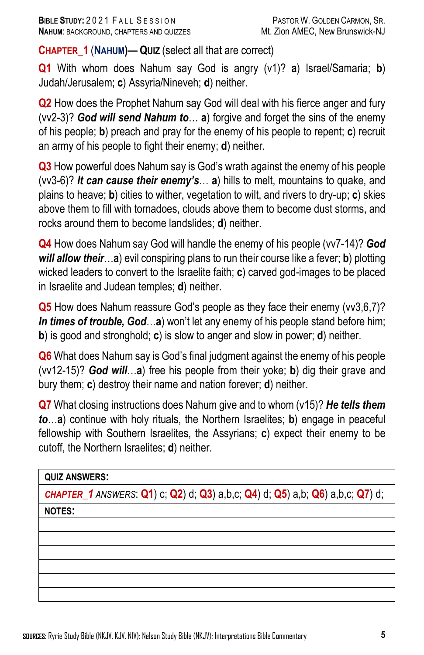**CHAPTER\_1** (**NAHUM)— QUIZ** (select all that are correct)

**Q1** With whom does Nahum say God is angry (v1)? **a**) Israel/Samaria; **b**) Judah/Jerusalem; **c**) Assyria/Nineveh; **d**) neither.

**Q2** How does the Prophet Nahum say God will deal with his fierce anger and fury (vv2-3)? *God will send Nahum to*… **a**) forgive and forget the sins of the enemy of his people; **b**) preach and pray for the enemy of his people to repent; **c**) recruit an army of his people to fight their enemy; **d**) neither.

**Q3** How powerful does Nahum say is God's wrath against the enemy of his people (vv3-6)? *It can cause their enemy's*… **a**) hills to melt, mountains to quake, and plains to heave; **b**) cities to wither, vegetation to wilt, and rivers to dry-up; **c**) skies above them to fill with tornadoes, clouds above them to become dust storms, and rocks around them to become landslides; **d**) neither.

**Q4** How does Nahum say God will handle the enemy of his people (vv7-14)? *God will allow their*…**a**) evil conspiring plans to run their course like a fever; **b**) plotting wicked leaders to convert to the Israelite faith; **c**) carved god-images to be placed in Israelite and Judean temples; **d**) neither.

**Q5** How does Nahum reassure God's people as they face their enemy (vv3,6,7)? *In times of trouble, God*…**a**) won't let any enemy of his people stand before him; **b**) is good and stronghold; **c**) is slow to anger and slow in power; **d**) neither.

**Q6** What does Nahum say is God's final judgment against the enemy of his people (vv12-15)? *God will*…**a**) free his people from their yoke; **b**) dig their grave and bury them; **c**) destroy their name and nation forever; **d**) neither.

**Q7** What closing instructions does Nahum give and to whom (v15)? *He tells them to*…**a**) continue with holy rituals, the Northern Israelites; **b**) engage in peaceful fellowship with Southern Israelites, the Assyrians; **c**) expect their enemy to be cutoff, the Northern Israelites; **d**) neither.

**QUIZ ANSWERS:**

*CHAPTER\_1 ANSWERS*: **Q1**) c; **Q2**) d; **Q3**) a,b,c; **Q4**) d; **Q5**) a,b; **Q6**) a,b,c; **Q7**) d;

**NOTES:**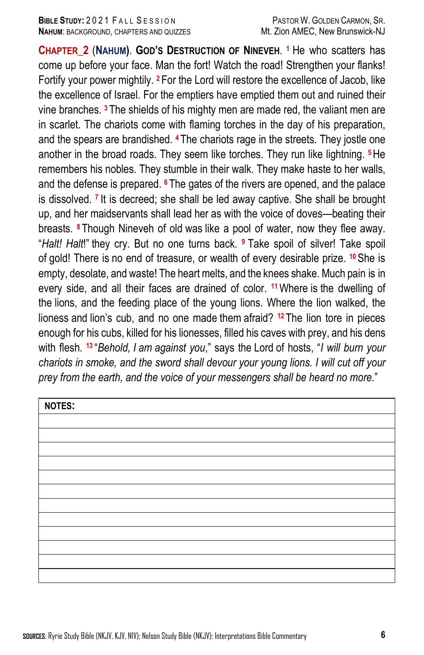**CHAPTER\_2** (**NAHUM)**. **GOD'S DESTRUCTION OF NINEVEH**. **<sup>1</sup>** He who scatters has come up before your face. Man the fort! Watch the road! Strengthen your flanks! Fortify your power mightily. **<sup>2</sup>** For the Lord will restore the excellence of Jacob, like the excellence of Israel. For the emptiers have emptied them out and ruined their vine branches. **<sup>3</sup>** The shields of his mighty men are made red, the valiant men are in scarlet. The chariots come with flaming torches in the day of his preparation, and the spears are brandished. **<sup>4</sup>** The chariots rage in the streets. They jostle one another in the broad roads. They seem like torches. They run like lightning. **<sup>5</sup>**He remembers his nobles. They stumble in their walk. They make haste to her walls, and the defense is prepared. **<sup>6</sup>** The gates of the rivers are opened, and the palace is dissolved. **<sup>7</sup>** It is decreed; she shall be led away captive. She shall be brought up, and her maidservants shall lead her as with the voice of doves—beating their breasts. **<sup>8</sup>** Though Nineveh of old was like a pool of water, now they flee away. "*Halt! Halt*!" they cry. But no one turns back. **<sup>9</sup>** Take spoil of silver! Take spoil of gold! There is no end of treasure, or wealth of every desirable prize. **<sup>10</sup>**She is empty, desolate, and waste! The heart melts, and the knees shake. Much pain is in every side, and all their faces are drained of color. **<sup>11</sup>**Where is the dwelling of the lions, and the feeding place of the young lions. Where the lion walked, the lioness and lion's cub, and no one made them afraid? **<sup>12</sup>** The lion tore in pieces enough for his cubs, killed for his lionesses, filled his caves with prey, and his dens with flesh. **<sup>13</sup>** "*Behold, I am against you*," says the Lord of hosts, "*I will burn your chariots in smoke, and the sword shall devour your young lions. I will cut off your prey from the earth, and the voice of your messengers shall be heard no more*."

| <b>NOTES:</b> |  |
|---------------|--|
|               |  |
|               |  |
|               |  |
|               |  |
|               |  |
|               |  |
|               |  |
|               |  |
|               |  |
|               |  |
|               |  |
|               |  |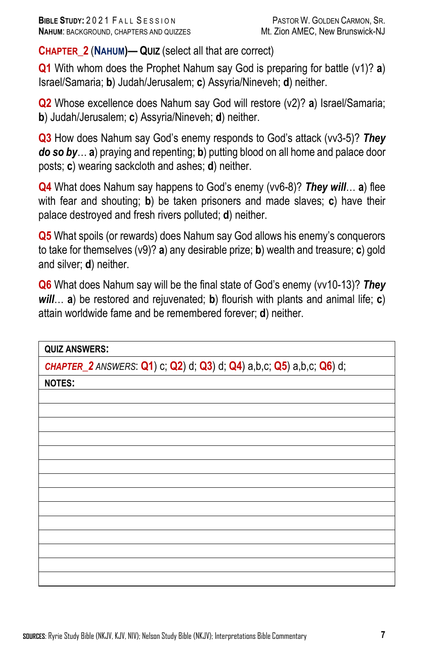**CHAPTER\_2** (**NAHUM)— QUIZ** (select all that are correct)

**Q1** With whom does the Prophet Nahum say God is preparing for battle (v1)? **a**) Israel/Samaria; **b**) Judah/Jerusalem; **c**) Assyria/Nineveh; **d**) neither.

**Q2** Whose excellence does Nahum say God will restore (v2)? **a**) Israel/Samaria; **b**) Judah/Jerusalem; **c**) Assyria/Nineveh; **d**) neither.

**Q3** How does Nahum say God's enemy responds to God's attack (vv3-5)? *They do so by*… **a**) praying and repenting; **b**) putting blood on all home and palace door posts; **c**) wearing sackcloth and ashes; **d**) neither.

**Q4** What does Nahum say happens to God's enemy (vv6-8)? *They will*… **a**) flee with fear and shouting; **b**) be taken prisoners and made slaves; **c**) have their palace destroyed and fresh rivers polluted; **d**) neither.

**Q5** What spoils (or rewards) does Nahum say God allows his enemy's conquerors to take for themselves (v9)? **a**) any desirable prize; **b**) wealth and treasure; **c**) gold and silver; **d**) neither.

**Q6** What does Nahum say will be the final state of God's enemy (vv10-13)? *They will*… **a**) be restored and rejuvenated; **b**) flourish with plants and animal life; **c**) attain worldwide fame and be remembered forever; **d**) neither.

| <b>QUIZ ANSWERS:</b>                                                 |  |
|----------------------------------------------------------------------|--|
| CHAPTER_2 ANSWERS: Q1) c; Q2) d; Q3) d; Q4) a,b,c; Q5) a,b,c; Q6) d; |  |
| <b>NOTES:</b>                                                        |  |
|                                                                      |  |
|                                                                      |  |
|                                                                      |  |
|                                                                      |  |
|                                                                      |  |
|                                                                      |  |
|                                                                      |  |
|                                                                      |  |
|                                                                      |  |
|                                                                      |  |
|                                                                      |  |
|                                                                      |  |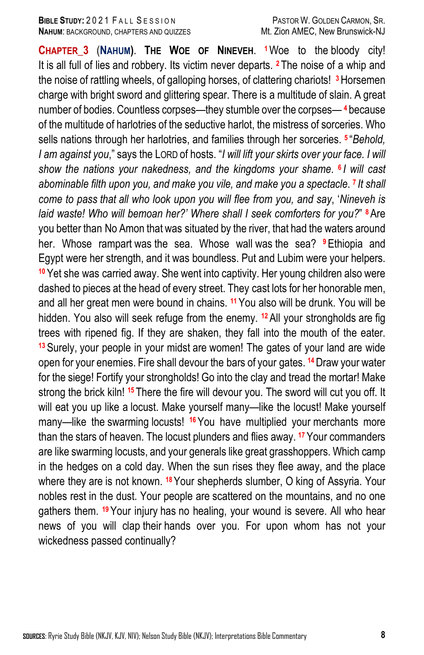## **BIBLE STUDY:** 2021 FALL SESSION PASTOR W. GOLDEN CARMON, SR. **NAHUM: BACKGROUND, CHAPTERS AND QUIZZES METALLY METALLY MANEC, New Brunswick-NJ**

**CHAPTER\_3** (**NAHUM)**. **THE WOE OF NINEVEH**. **<sup>1</sup>**Woe to the bloody city! It is all full of lies and robbery. Its victim never departs. **<sup>2</sup>** The noise of a whip and the noise of rattling wheels, of galloping horses, of clattering chariots! **3**Horsemen charge with bright sword and glittering spear. There is a multitude of slain. A great number of bodies. Countless corpses—they stumble over the corpses— **<sup>4</sup>** because of the multitude of harlotries of the seductive harlot, the mistress of sorceries. Who sells nations through her harlotries, and families through her sorceries. **<sup>5</sup>** "*Behold, I am against you*," says the LORD of hosts. "*I will lift your skirts over your face. I will show the nations your nakedness, and the kingdoms your shame*. **<sup>6</sup>** *I will cast abominable filth upon you, and make you vile, and make you a spectacle*. **<sup>7</sup>** *It shall come to pass that all who look upon you will flee from you, and say*, '*Nineveh is laid waste! Who will bemoan her?' Where shall I seek comforters for you?*" **<sup>8</sup>**Are you better than No Amon that was situated by the river, that had the waters around her. Whose rampart was the sea. Whose wall was the sea? **<sup>9</sup>**Ethiopia and Egypt were her strength, and it was boundless. Put and Lubim were your helpers. **<sup>10</sup>** Yet she was carried away. She went into captivity. Her young children also were dashed to pieces at the head of every street. They cast lots for her honorable men, and all her great men were bound in chains. **<sup>11</sup>**You also will be drunk. You will be hidden. You also will seek refuge from the enemy. **<sup>12</sup>**All your strongholds are fig trees with ripened fig. If they are shaken, they fall into the mouth of the eater. **<sup>13</sup>** Surely, your people in your midst are women! The gates of your land are wide open for your enemies. Fire shall devour the bars of your gates. **<sup>14</sup>**Draw your water for the siege! Fortify your strongholds! Go into the clay and tread the mortar! Make strong the brick kiln! **<sup>15</sup>** There the fire will devour you. The sword will cut you off. It will eat you up like a locust. Make yourself many—like the locust! Make yourself many—like the swarming locusts! <sup>16</sup> You have multiplied your merchants more than the stars of heaven. The locust plunders and flies away. **<sup>17</sup>** Your commanders are like swarming locusts, and your generals like great grasshoppers. Which camp in the hedges on a cold day. When the sun rises they flee away, and the place where they are is not known. **<sup>18</sup>**Your shepherds slumber, O king of Assyria. Your nobles rest in the dust. Your people are scattered on the mountains, and no one gathers them. **<sup>19</sup>**Your injury has no healing, your wound is severe. All who hear news of you will clap their hands over you. For upon whom has not your wickedness passed continually?